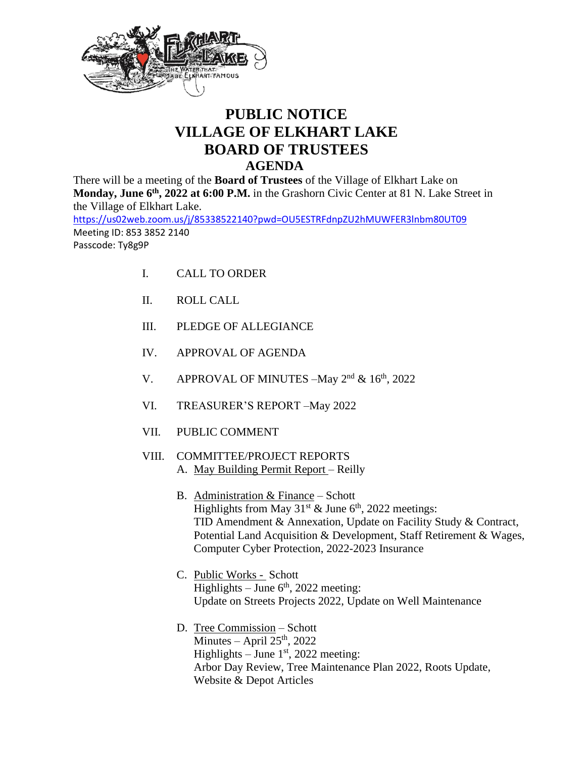

## **PUBLIC NOTICE VILLAGE OF ELKHART LAKE BOARD OF TRUSTEES AGENDA**

There will be a meeting of the **Board of Trustees** of the Village of Elkhart Lake on **Monday, June 6<sup>th</sup>, 2022 at 6:00 P.M.** in the Grashorn Civic Center at 81 N. Lake Street in the Village of Elkhart Lake.

<https://us02web.zoom.us/j/85338522140?pwd=OU5ESTRFdnpZU2hMUWFER3lnbm80UT09> Meeting ID: 853 3852 2140

Passcode: Ty8g9P

- I. CALL TO ORDER
- II. ROLL CALL
- III. PLEDGE OF ALLEGIANCE
- IV. APPROVAL OF AGENDA
- V. APPROVAL OF MINUTES  $-May 2<sup>nd</sup> \& 16<sup>th</sup>, 2022$
- VI. TREASURER'S REPORT –May 2022
- VII. PUBLIC COMMENT
- VIII. COMMITTEE/PROJECT REPORTS A. May Building Permit Report – Reilly
	- B. Administration & Finance Schott Highlights from May  $31^{st}$  & June  $6^{th}$ , 2022 meetings: TID Amendment & Annexation, Update on Facility Study & Contract, Potential Land Acquisition & Development, Staff Retirement & Wages, Computer Cyber Protection, 2022-2023 Insurance
	- C. Public Works Schott Highlights – June  $6<sup>th</sup>$ , 2022 meeting: Update on Streets Projects 2022, Update on Well Maintenance
	- D. Tree Commission Schott Minutes – April  $25<sup>th</sup>$ , 2022 Highlights  $-$  June 1st, 2022 meeting: Arbor Day Review, Tree Maintenance Plan 2022, Roots Update, Website & Depot Articles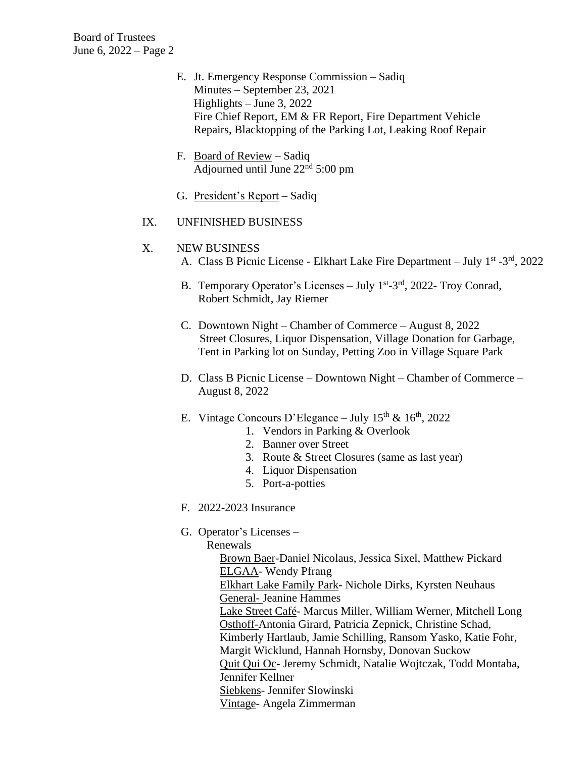Board of Trustees June 6, 2022 – Page 2

- E. Jt. Emergency Response Commission Sadiq Minutes – September 23, 2021 Highlights – June 3, 2022 Fire Chief Report, EM & FR Report, Fire Department Vehicle Repairs, Blacktopping of the Parking Lot, Leaking Roof Repair
- F. Board of Review Sadiq Adjourned until June  $22<sup>nd</sup> 5:00$  pm
- G. President's Report Sadiq
- IX. UNFINISHED BUSINESS

## X. NEW BUSINESS

- A. Class B Picnic License Elkhart Lake Fire Department July 1<sup>st</sup> -3<sup>rd</sup>, 2022
- B. Temporary Operator's Licenses July 1<sup>st</sup>-3<sup>rd</sup>, 2022- Troy Conrad, Robert Schmidt, Jay Riemer
- C. Downtown Night Chamber of Commerce August 8, 2022 Street Closures, Liquor Dispensation, Village Donation for Garbage, Tent in Parking lot on Sunday, Petting Zoo in Village Square Park
- D. Class B Picnic License Downtown Night Chamber of Commerce August 8, 2022
- E. Vintage Concours D'Elegance July  $15^{th}$  &  $16^{th}$ , 2022
	- 1. Vendors in Parking & Overlook
	- 2. Banner over Street
	- 3. Route & Street Closures (same as last year)
	- 4. Liquor Dispensation
	- 5. Port-a-potties
- F. 2022-2023 Insurance
- G. Operator's Licenses –

Renewals

Brown Baer-Daniel Nicolaus, Jessica Sixel, Matthew Pickard ELGAA- Wendy Pfrang Elkhart Lake Family Park- Nichole Dirks, Kyrsten Neuhaus General- Jeanine Hammes Lake Street Café- Marcus Miller, William Werner, Mitchell Long Osthoff-Antonia Girard, Patricia Zepnick, Christine Schad, Kimberly Hartlaub, Jamie Schilling, Ransom Yasko, Katie Fohr, Margit Wicklund, Hannah Hornsby, Donovan Suckow Quit Qui Oc- Jeremy Schmidt, Natalie Wojtczak, Todd Montaba, Jennifer Kellner Siebkens- Jennifer Slowinski Vintage- Angela Zimmerman